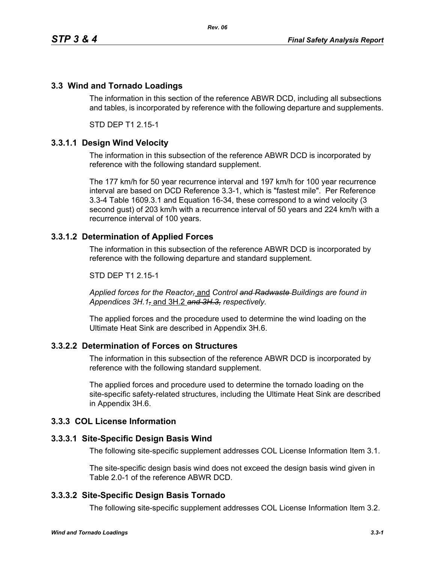# **3.3 Wind and Tornado Loadings**

The information in this section of the reference ABWR DCD, including all subsections and tables, is incorporated by reference with the following departure and supplements.

STD DEP T1 2.15-1

## **3.3.1.1 Design Wind Velocity**

The information in this subsection of the reference ABWR DCD is incorporated by reference with the following standard supplement.

The 177 km/h for 50 year recurrence interval and 197 km/h for 100 year recurrence interval are based on DCD Reference 3.3-1, which is "fastest mile". Per Reference 3.3-4 Table 1609.3.1 and Equation 16-34, these correspond to a wind velocity (3 second gust) of 203 km/h with a recurrence interval of 50 years and 224 km/h with a recurrence interval of 100 years.

## **3.3.1.2 Determination of Applied Forces**

The information in this subsection of the reference ABWR DCD is incorporated by reference with the following departure and standard supplement.

STD DEP T1 2.15-1

*Applied forces for the Reactor,* and *Control and Radwaste Buildings are found in Appendices 3H.1,* and 3H.2 *and 3H.3, respectively.*

The applied forces and the procedure used to determine the wind loading on the Ultimate Heat Sink are described in Appendix 3H.6.

## **3.3.2.2 Determination of Forces on Structures**

The information in this subsection of the reference ABWR DCD is incorporated by reference with the following standard supplement.

The applied forces and procedure used to determine the tornado loading on the site-specific safety-related structures, including the Ultimate Heat Sink are described in Appendix 3H.6.

## **3.3.3 COL License Information**

## **3.3.3.1 Site-Specific Design Basis Wind**

The following site-specific supplement addresses COL License Information Item 3.1.

The site-specific design basis wind does not exceed the design basis wind given in Table 2.0-1 of the reference ABWR DCD.

## **3.3.3.2 Site-Specific Design Basis Tornado**

The following site-specific supplement addresses COL License Information Item 3.2.